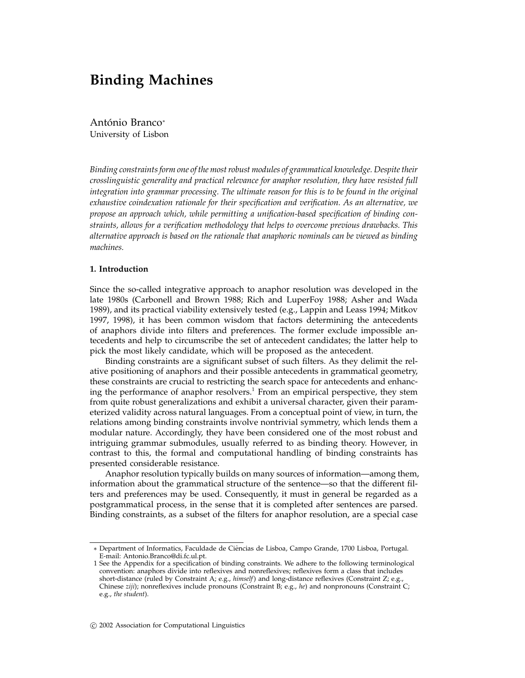# **Binding Machines**

António Branco<sup>∗</sup> University of Lisbon

*Binding constraints form one of the most robust modules of grammatical knowledge. Despite their crosslinguistic generality and practical relevance for anaphor resolution, they have resisted full integration into grammar processing. The ultimate reason for this is to be found in the original exhaustive coindexation rationale for their specification and verification. As an alternative, we propose an approach which, while permitting a unification-based specification of binding constraints, allows for a verification methodology that helps to overcome previous drawbacks. This alternative approach is based on the rationale that anaphoric nominals can be viewed as binding machines.*

# **1. Introduction**

Since the so-called integrative approach to anaphor resolution was developed in the late 1980s (Carbonell and Brown 1988; Rich and LuperFoy 1988; Asher and Wada 1989), and its practical viability extensively tested (e.g., Lappin and Leass 1994; Mitkov 1997, 1998), it has been common wisdom that factors determining the antecedents of anaphors divide into filters and preferences. The former exclude impossible antecedents and help to circumscribe the set of antecedent candidates; the latter help to pick the most likely candidate, which will be proposed as the antecedent.

Binding constraints are a significant subset of such filters. As they delimit the relative positioning of anaphors and their possible antecedents in grammatical geometry, these constraints are crucial to restricting the search space for antecedents and enhancing the performance of anaphor resolvers.<sup>1</sup> From an empirical perspective, they stem from quite robust generalizations and exhibit a universal character, given their parameterized validity across natural languages. From a conceptual point of view, in turn, the relations among binding constraints involve nontrivial symmetry, which lends them a modular nature. Accordingly, they have been considered one of the most robust and intriguing grammar submodules, usually referred to as binding theory. However, in contrast to this, the formal and computational handling of binding constraints has presented considerable resistance.

Anaphor resolution typically builds on many sources of information—among them, information about the grammatical structure of the sentence—so that the different filters and preferences may be used. Consequently, it must in general be regarded as a postgrammatical process, in the sense that it is completed after sentences are parsed. Binding constraints, as a subset of the filters for anaphor resolution, are a special case

<sup>∗</sup> Department of Informatics, Faculdade de Ciˆencias de Lisboa, Campo Grande, 1700 Lisboa, Portugal. E-mail: Antonio.Branco@di.fc.ul.pt.

<sup>1</sup> See the Appendix for a specification of binding constraints. We adhere to the following terminological convention: anaphors divide into reflexives and nonreflexives; reflexives form a class that includes short-distance (ruled by Constraint A; e.g., *himself*) and long-distance reflexives (Constraint Z; e.g., Chinese *ziji*); nonreflexives include pronouns (Constraint B; e.g., *he*) and nonpronouns (Constraint C; e.g., *the student*).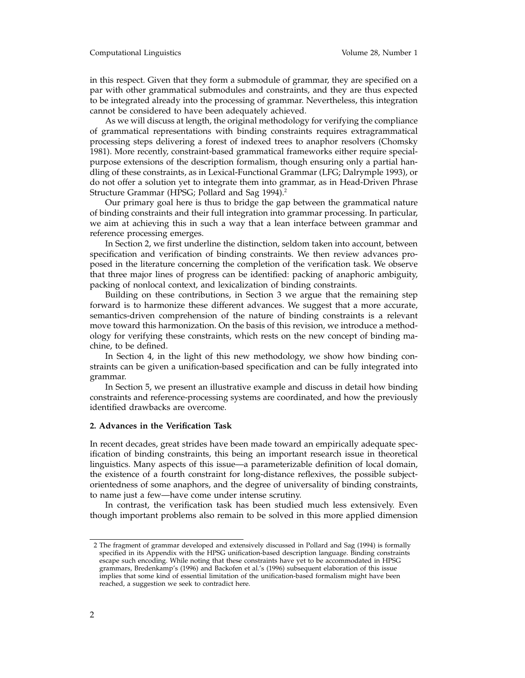in this respect. Given that they form a submodule of grammar, they are specified on a par with other grammatical submodules and constraints, and they are thus expected to be integrated already into the processing of grammar. Nevertheless, this integration cannot be considered to have been adequately achieved.

As we will discuss at length, the original methodology for verifying the compliance of grammatical representations with binding constraints requires extragrammatical processing steps delivering a forest of indexed trees to anaphor resolvers (Chomsky 1981). More recently, constraint-based grammatical frameworks either require specialpurpose extensions of the description formalism, though ensuring only a partial handling of these constraints, as in Lexical-Functional Grammar (LFG; Dalrymple 1993), or do not offer a solution yet to integrate them into grammar, as in Head-Driven Phrase Structure Grammar (HPSG; Pollard and Sag 1994).<sup>2</sup>

Our primary goal here is thus to bridge the gap between the grammatical nature of binding constraints and their full integration into grammar processing. In particular, we aim at achieving this in such a way that a lean interface between grammar and reference processing emerges.

In Section 2, we first underline the distinction, seldom taken into account, between specification and verification of binding constraints. We then review advances proposed in the literature concerning the completion of the verification task. We observe that three major lines of progress can be identified: packing of anaphoric ambiguity, packing of nonlocal context, and lexicalization of binding constraints.

Building on these contributions, in Section 3 we argue that the remaining step forward is to harmonize these different advances. We suggest that a more accurate, semantics-driven comprehension of the nature of binding constraints is a relevant move toward this harmonization. On the basis of this revision, we introduce a methodology for verifying these constraints, which rests on the new concept of binding machine, to be defined.

In Section 4, in the light of this new methodology, we show how binding constraints can be given a unification-based specification and can be fully integrated into grammar.

In Section 5, we present an illustrative example and discuss in detail how binding constraints and reference-processing systems are coordinated, and how the previously identified drawbacks are overcome.

# **2. Advances in the Verification Task**

In recent decades, great strides have been made toward an empirically adequate specification of binding constraints, this being an important research issue in theoretical linguistics. Many aspects of this issue—a parameterizable definition of local domain, the existence of a fourth constraint for long-distance reflexives, the possible subjectorientedness of some anaphors, and the degree of universality of binding constraints, to name just a few—have come under intense scrutiny.

In contrast, the verification task has been studied much less extensively. Even though important problems also remain to be solved in this more applied dimension

<sup>2</sup> The fragment of grammar developed and extensively discussed in Pollard and Sag (1994) is formally specified in its Appendix with the HPSG unification-based description language. Binding constraints escape such encoding. While noting that these constraints have yet to be accommodated in HPSG grammars, Bredenkamp's (1996) and Backofen et al.'s (1996) subsequent elaboration of this issue implies that some kind of essential limitation of the unification-based formalism might have been reached, a suggestion we seek to contradict here.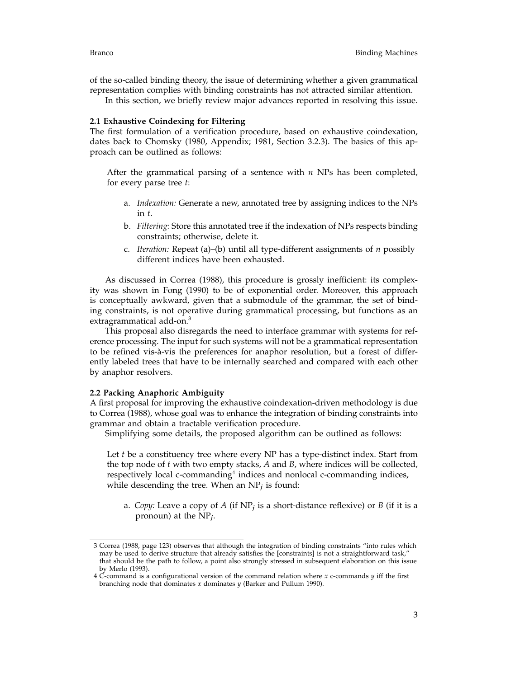of the so-called binding theory, the issue of determining whether a given grammatical representation complies with binding constraints has not attracted similar attention.

In this section, we briefly review major advances reported in resolving this issue.

# **2.1 Exhaustive Coindexing for Filtering**

The first formulation of a verification procedure, based on exhaustive coindexation, dates back to Chomsky (1980, Appendix; 1981, Section 3.2.3). The basics of this approach can be outlined as follows:

After the grammatical parsing of a sentence with *n* NPs has been completed, for every parse tree *t*:

- a. *Indexation:* Generate a new, annotated tree by assigning indices to the NPs in *t*.
- b. *Filtering:* Store this annotated tree if the indexation of NPs respects binding constraints; otherwise, delete it.
- c. *Iteration:* Repeat (a)–(b) until all type-different assignments of *n* possibly different indices have been exhausted.

As discussed in Correa (1988), this procedure is grossly inefficient: its complexity was shown in Fong (1990) to be of exponential order. Moreover, this approach is conceptually awkward, given that a submodule of the grammar, the set of binding constraints, is not operative during grammatical processing, but functions as an extragrammatical add-on.<sup>3</sup>

This proposal also disregards the need to interface grammar with systems for reference processing. The input for such systems will not be a grammatical representation to be refined vis-à-vis the preferences for anaphor resolution, but a forest of differently labeled trees that have to be internally searched and compared with each other by anaphor resolvers.

#### **2.2 Packing Anaphoric Ambiguity**

A first proposal for improving the exhaustive coindexation-driven methodology is due to Correa (1988), whose goal was to enhance the integration of binding constraints into grammar and obtain a tractable verification procedure.

Simplifying some details, the proposed algorithm can be outlined as follows:

Let *t* be a constituency tree where every NP has a type-distinct index. Start from the top node of *t* with two empty stacks, *A* and *B*, where indices will be collected, respectively local c-commanding $4$  indices and nonlocal c-commanding indices, while descending the tree. When an NP*<sup>j</sup>* is found:

a. *Copy:* Leave a copy of *A* (if NP*<sup>j</sup>* is a short-distance reflexive) or *B* (if it is a pronoun) at the NP*j*.

<sup>3</sup> Correa (1988, page 123) observes that although the integration of binding constraints "into rules which may be used to derive structure that already satisfies the [constraints] is not a straightforward task," that should be the path to follow, a point also strongly stressed in subsequent elaboration on this issue by Merlo (1993).

<sup>4</sup> C-command is a configurational version of the command relation where *x* c-commands *y* iff the first branching node that dominates *x* dominates *y* (Barker and Pullum 1990).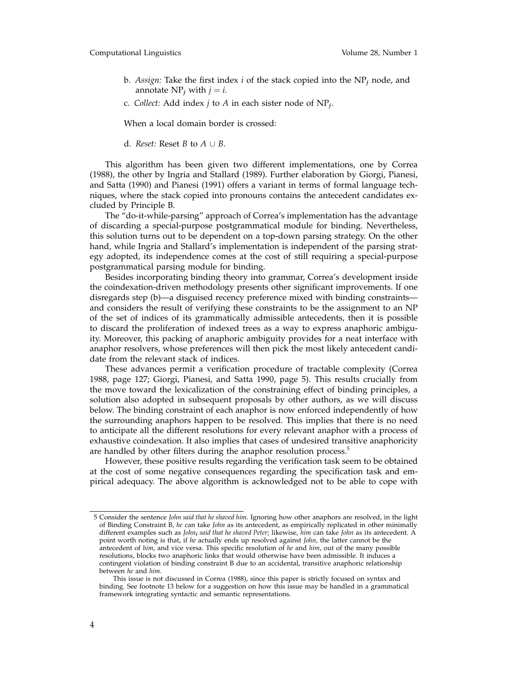- b. *Assign:* Take the first index *i* of the stack copied into the NP*<sup>j</sup>* node, and annotate  $NP_i$  with  $j = i$ .
- c. *Collect:* Add index *j* to *A* in each sister node of NP*j*.

When a local domain border is crossed:

d. *Reset:* Reset *B* to  $A \cup B$ .

This algorithm has been given two different implementations, one by Correa (1988), the other by Ingria and Stallard (1989). Further elaboration by Giorgi, Pianesi, and Satta (1990) and Pianesi (1991) offers a variant in terms of formal language techniques, where the stack copied into pronouns contains the antecedent candidates excluded by Principle B.

The "do-it-while-parsing" approach of Correa's implementation has the advantage of discarding a special-purpose postgrammatical module for binding. Nevertheless, this solution turns out to be dependent on a top-down parsing strategy. On the other hand, while Ingria and Stallard's implementation is independent of the parsing strategy adopted, its independence comes at the cost of still requiring a special-purpose postgrammatical parsing module for binding.

Besides incorporating binding theory into grammar, Correa's development inside the coindexation-driven methodology presents other significant improvements. If one disregards step (b)—a disguised recency preference mixed with binding constraints and considers the result of verifying these constraints to be the assignment to an NP of the set of indices of its grammatically admissible antecedents, then it is possible to discard the proliferation of indexed trees as a way to express anaphoric ambiguity. Moreover, this packing of anaphoric ambiguity provides for a neat interface with anaphor resolvers, whose preferences will then pick the most likely antecedent candidate from the relevant stack of indices.

These advances permit a verification procedure of tractable complexity (Correa 1988, page 127; Giorgi, Pianesi, and Satta 1990, page 5). This results crucially from the move toward the lexicalization of the constraining effect of binding principles, a solution also adopted in subsequent proposals by other authors, as we will discuss below. The binding constraint of each anaphor is now enforced independently of how the surrounding anaphors happen to be resolved. This implies that there is no need to anticipate all the different resolutions for every relevant anaphor with a process of exhaustive coindexation. It also implies that cases of undesired transitive anaphoricity are handled by other filters during the anaphor resolution process.<sup>5</sup>

However, these positive results regarding the verification task seem to be obtained at the cost of some negative consequences regarding the specification task and empirical adequacy. The above algorithm is acknowledged not to be able to cope with

<sup>5</sup> Consider the sentence *John said that he shaved him*. Ignoring how other anaphors are resolved, in the light of Binding Constraint B, *he* can take *John* as its antecedent, as empirically replicated in other minimally different examples such as *John<sup>i</sup> said that he shaved Peter*; likewise, *him* can take *John* as its antecedent. A point worth noting is that, if *he* actually ends up resolved against *John*, the latter cannot be the antecedent of *him*, and vice versa. This specific resolution of *he* and *him*, out of the many possible resolutions, blocks two anaphoric links that would otherwise have been admissible. It induces a contingent violation of binding constraint B due to an accidental, transitive anaphoric relationship between *he* and *him*.

This issue is not discussed in Correa (1988), since this paper is strictly focused on syntax and binding. See footnote 13 below for a suggestion on how this issue may be handled in a grammatical framework integrating syntactic and semantic representations.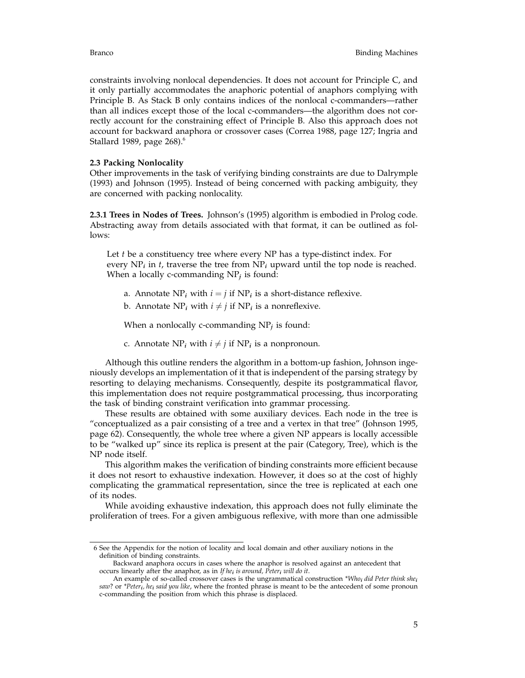constraints involving nonlocal dependencies. It does not account for Principle C, and it only partially accommodates the anaphoric potential of anaphors complying with Principle B. As Stack B only contains indices of the nonlocal c-commanders—rather than all indices except those of the local c-commanders—the algorithm does not correctly account for the constraining effect of Principle B. Also this approach does not account for backward anaphora or crossover cases (Correa 1988, page 127; Ingria and Stallard 1989, page  $268$ <sup>6</sup>.

# **2.3 Packing Nonlocality**

Other improvements in the task of verifying binding constraints are due to Dalrymple (1993) and Johnson (1995). Instead of being concerned with packing ambiguity, they are concerned with packing nonlocality.

**2.3.1 Trees in Nodes of Trees.** Johnson's (1995) algorithm is embodied in Prolog code. Abstracting away from details associated with that format, it can be outlined as follows:

Let *t* be a constituency tree where every NP has a type-distinct index. For every  $NP_i$  in *t*, traverse the tree from  $NP_i$  upward until the top node is reached. When a locally c-commanding NP*<sup>j</sup>* is found:

- a. Annotate  $NP_i$  with  $i = j$  if  $NP_i$  is a short-distance reflexive.
- b. Annotate  $NP_i$  with  $i \neq j$  if  $NP_i$  is a nonreflexive.

When a nonlocally c-commanding NP*<sup>j</sup>* is found:

c. Annotate  $NP_i$  with  $i \neq j$  if  $NP_i$  is a nonpronoun.

Although this outline renders the algorithm in a bottom-up fashion, Johnson ingeniously develops an implementation of it that is independent of the parsing strategy by resorting to delaying mechanisms. Consequently, despite its postgrammatical flavor, this implementation does not require postgrammatical processing, thus incorporating the task of binding constraint verification into grammar processing.

These results are obtained with some auxiliary devices. Each node in the tree is "conceptualized as a pair consisting of a tree and a vertex in that tree" (Johnson 1995, page 62). Consequently, the whole tree where a given NP appears is locally accessible to be "walked up" since its replica is present at the pair (Category, Tree), which is the NP node itself.

This algorithm makes the verification of binding constraints more efficient because it does not resort to exhaustive indexation. However, it does so at the cost of highly complicating the grammatical representation, since the tree is replicated at each one of its nodes.

While avoiding exhaustive indexation, this approach does not fully eliminate the proliferation of trees. For a given ambiguous reflexive, with more than one admissible

<sup>6</sup> See the Appendix for the notion of locality and local domain and other auxiliary notions in the definition of binding constraints.

Backward anaphora occurs in cases where the anaphor is resolved against an antecedent that occurs linearly after the anaphor, as in *If he<sup>i</sup> is around, Peter<sup>i</sup> will do it*.

An example of so-called crossover cases is the ungrammatical construction *\*Who<sup>i</sup> did Peter think she<sup>i</sup> saw*? or *\*Peteri, he<sup>i</sup> said you like*, where the fronted phrase is meant to be the antecedent of some pronoun c-commanding the position from which this phrase is displaced.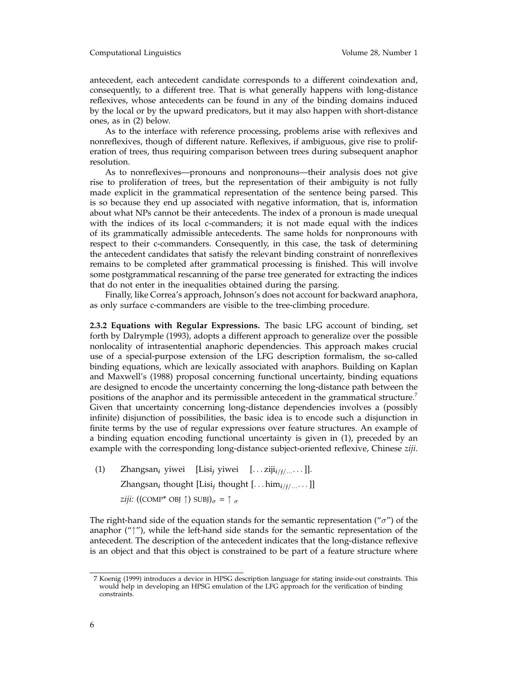### Computational Linguistics Volume 28, Number 1

antecedent, each antecedent candidate corresponds to a different coindexation and, consequently, to a different tree. That is what generally happens with long-distance reflexives, whose antecedents can be found in any of the binding domains induced by the local or by the upward predicators, but it may also happen with short-distance ones, as in (2) below.

As to the interface with reference processing, problems arise with reflexives and nonreflexives, though of different nature. Reflexives, if ambiguous, give rise to proliferation of trees, thus requiring comparison between trees during subsequent anaphor resolution.

As to nonreflexives—pronouns and nonpronouns—their analysis does not give rise to proliferation of trees, but the representation of their ambiguity is not fully made explicit in the grammatical representation of the sentence being parsed. This is so because they end up associated with negative information, that is, information about what NPs cannot be their antecedents. The index of a pronoun is made unequal with the indices of its local c-commanders; it is not made equal with the indices of its grammatically admissible antecedents. The same holds for nonpronouns with respect to their c-commanders. Consequently, in this case, the task of determining the antecedent candidates that satisfy the relevant binding constraint of nonreflexives remains to be completed after grammatical processing is finished. This will involve some postgrammatical rescanning of the parse tree generated for extracting the indices that do not enter in the inequalities obtained during the parsing.

Finally, like Correa's approach, Johnson's does not account for backward anaphora, as only surface c-commanders are visible to the tree-climbing procedure.

**2.3.2 Equations with Regular Expressions.** The basic LFG account of binding, set forth by Dalrymple (1993), adopts a different approach to generalize over the possible nonlocality of intrasentential anaphoric dependencies. This approach makes crucial use of a special-purpose extension of the LFG description formalism, the so-called binding equations, which are lexically associated with anaphors. Building on Kaplan and Maxwell's (1988) proposal concerning functional uncertainty, binding equations are designed to encode the uncertainty concerning the long-distance path between the positions of the anaphor and its permissible antecedent in the grammatical structure.<sup>7</sup> Given that uncertainty concerning long-distance dependencies involves a (possibly infinite) disjunction of possibilities, the basic idea is to encode such a disjunction in finite terms by the use of regular expressions over feature structures. An example of a binding equation encoding functional uncertainty is given in (1), preceded by an example with the corresponding long-distance subject-oriented reflexive, Chinese *ziji*.

(1) Zhangsan*<sup>i</sup>* yiwei [Lisi*<sup>j</sup>* yiwei [*...* ziji*i*/*j*/...*...*]]. Zhangsan*<sup>i</sup>* thought [Lisi*<sup>j</sup>* thought [*...* him*i*/*j*/...*...*]] *ziji:* ((COMP<sup>\*</sup> OBJ  $\uparrow$ ) SUBJ) $_{\sigma} = \uparrow$   $_{\sigma}$ 

The right-hand side of the equation stands for the semantic representation ("*σ*") of the anaphor ( $\uparrow\uparrow\uparrow$ ), while the left-hand side stands for the semantic representation of the antecedent. The description of the antecedent indicates that the long-distance reflexive is an object and that this object is constrained to be part of a feature structure where

<sup>7</sup> Koenig (1999) introduces a device in HPSG description language for stating inside-out constraints. This would help in developing an HPSG emulation of the LFG approach for the verification of binding constraints.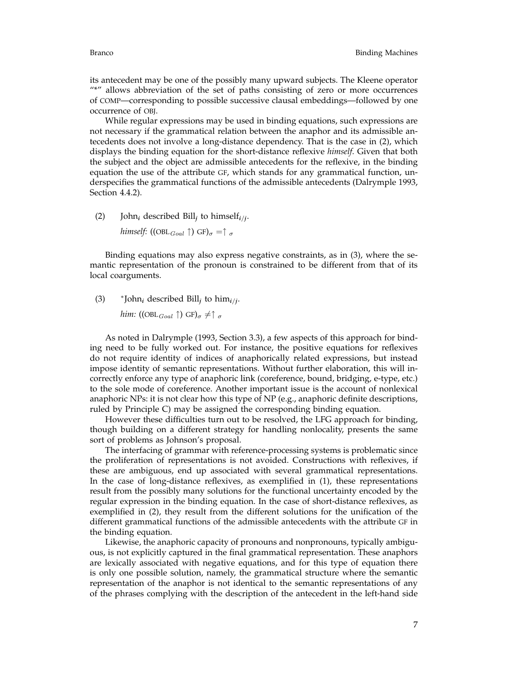its antecedent may be one of the possibly many upward subjects. The Kleene operator "\*" allows abbreviation of the set of paths consisting of zero or more occurrences of COMP—corresponding to possible successive clausal embeddings—followed by one occurrence of OBJ.

While regular expressions may be used in binding equations, such expressions are not necessary if the grammatical relation between the anaphor and its admissible antecedents does not involve a long-distance dependency. That is the case in (2), which displays the binding equation for the short-distance reflexive *himself*. Given that both the subject and the object are admissible antecedents for the reflexive, in the binding equation the use of the attribute GF, which stands for any grammatical function, underspecifies the grammatical functions of the admissible antecedents (Dalrymple 1993, Section 4.4.2).

(2) John<sub>*i*</sub> described Bill<sub>*j*</sub> to himself<sub>*i/j*</sub>.

*himself:* ((OBL<sub>Goal</sub>  $\uparrow$ ) GF) $_{\sigma} = \uparrow$   $_{\sigma}$ 

Binding equations may also express negative constraints, as in (3), where the semantic representation of the pronoun is constrained to be different from that of its local coarguments.

(3)  $*$  John<sub>*i*</sub> described Bill<sub>*i*</sub> to him<sub>*i*/*j*</sub>.

*him:* ((OBL<sub>Goal</sub>  $\uparrow$ ) GF) $_{\sigma} \neq \uparrow$   $_{\sigma}$ 

As noted in Dalrymple (1993, Section 3.3), a few aspects of this approach for binding need to be fully worked out. For instance, the positive equations for reflexives do not require identity of indices of anaphorically related expressions, but instead impose identity of semantic representations. Without further elaboration, this will incorrectly enforce any type of anaphoric link (coreference, bound, bridging, e-type, etc.) to the sole mode of coreference. Another important issue is the account of nonlexical anaphoric NPs: it is not clear how this type of NP (e.g., anaphoric definite descriptions, ruled by Principle C) may be assigned the corresponding binding equation.

However these difficulties turn out to be resolved, the LFG approach for binding, though building on a different strategy for handling nonlocality, presents the same sort of problems as Johnson's proposal.

The interfacing of grammar with reference-processing systems is problematic since the proliferation of representations is not avoided. Constructions with reflexives, if these are ambiguous, end up associated with several grammatical representations. In the case of long-distance reflexives, as exemplified in (1), these representations result from the possibly many solutions for the functional uncertainty encoded by the regular expression in the binding equation. In the case of short-distance reflexives, as exemplified in (2), they result from the different solutions for the unification of the different grammatical functions of the admissible antecedents with the attribute GF in the binding equation.

Likewise, the anaphoric capacity of pronouns and nonpronouns, typically ambiguous, is not explicitly captured in the final grammatical representation. These anaphors are lexically associated with negative equations, and for this type of equation there is only one possible solution, namely, the grammatical structure where the semantic representation of the anaphor is not identical to the semantic representations of any of the phrases complying with the description of the antecedent in the left-hand side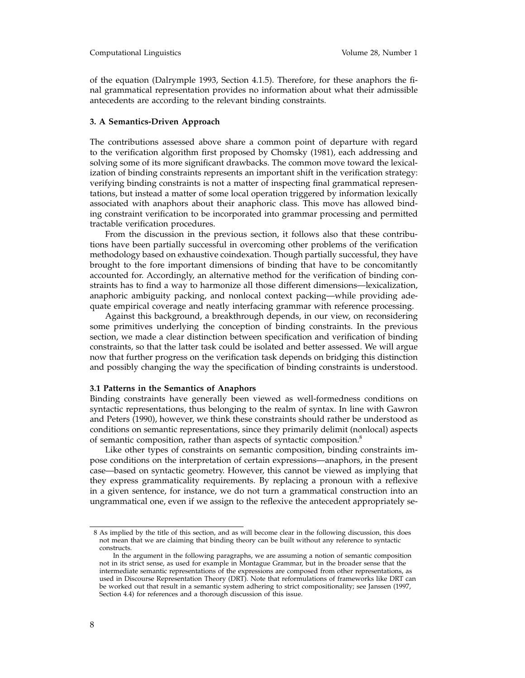of the equation (Dalrymple 1993, Section 4.1.5). Therefore, for these anaphors the final grammatical representation provides no information about what their admissible antecedents are according to the relevant binding constraints.

### **3. A Semantics-Driven Approach**

The contributions assessed above share a common point of departure with regard to the verification algorithm first proposed by Chomsky (1981), each addressing and solving some of its more significant drawbacks. The common move toward the lexicalization of binding constraints represents an important shift in the verification strategy: verifying binding constraints is not a matter of inspecting final grammatical representations, but instead a matter of some local operation triggered by information lexically associated with anaphors about their anaphoric class. This move has allowed binding constraint verification to be incorporated into grammar processing and permitted tractable verification procedures.

From the discussion in the previous section, it follows also that these contributions have been partially successful in overcoming other problems of the verification methodology based on exhaustive coindexation. Though partially successful, they have brought to the fore important dimensions of binding that have to be concomitantly accounted for. Accordingly, an alternative method for the verification of binding constraints has to find a way to harmonize all those different dimensions—lexicalization, anaphoric ambiguity packing, and nonlocal context packing—while providing adequate empirical coverage and neatly interfacing grammar with reference processing.

Against this background, a breakthrough depends, in our view, on reconsidering some primitives underlying the conception of binding constraints. In the previous section, we made a clear distinction between specification and verification of binding constraints, so that the latter task could be isolated and better assessed. We will argue now that further progress on the verification task depends on bridging this distinction and possibly changing the way the specification of binding constraints is understood.

#### **3.1 Patterns in the Semantics of Anaphors**

Binding constraints have generally been viewed as well-formedness conditions on syntactic representations, thus belonging to the realm of syntax. In line with Gawron and Peters (1990), however, we think these constraints should rather be understood as conditions on semantic representations, since they primarily delimit (nonlocal) aspects of semantic composition, rather than aspects of syntactic composition.<sup>8</sup>

Like other types of constraints on semantic composition, binding constraints impose conditions on the interpretation of certain expressions—anaphors, in the present case—based on syntactic geometry. However, this cannot be viewed as implying that they express grammaticality requirements. By replacing a pronoun with a reflexive in a given sentence, for instance, we do not turn a grammatical construction into an ungrammatical one, even if we assign to the reflexive the antecedent appropriately se-

<sup>8</sup> As implied by the title of this section, and as will become clear in the following discussion, this does not mean that we are claiming that binding theory can be built without any reference to syntactic constructs.

In the argument in the following paragraphs, we are assuming a notion of semantic composition not in its strict sense, as used for example in Montague Grammar, but in the broader sense that the intermediate semantic representations of the expressions are composed from other representations, as used in Discourse Representation Theory (DRT). Note that reformulations of frameworks like DRT can be worked out that result in a semantic system adhering to strict compositionality; see Janssen (1997, Section 4.4) for references and a thorough discussion of this issue.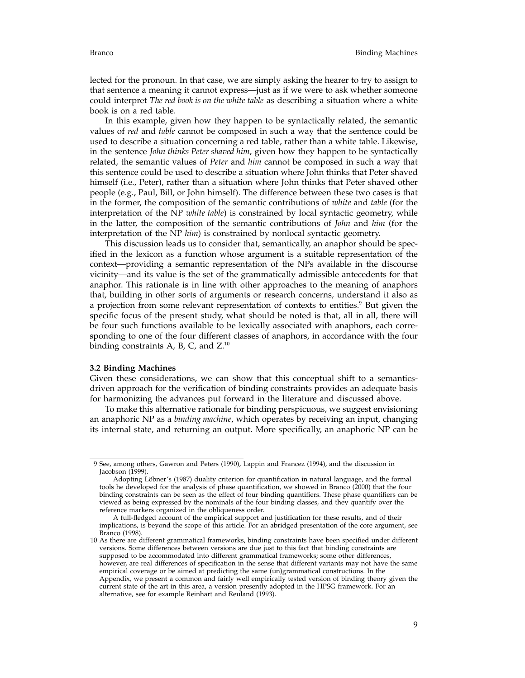lected for the pronoun. In that case, we are simply asking the hearer to try to assign to that sentence a meaning it cannot express—just as if we were to ask whether someone could interpret *The red book is on the white table* as describing a situation where a white book is on a red table.

In this example, given how they happen to be syntactically related, the semantic values of *red* and *table* cannot be composed in such a way that the sentence could be used to describe a situation concerning a red table, rather than a white table. Likewise, in the sentence *John thinks Peter shaved him*, given how they happen to be syntactically related, the semantic values of *Peter* and *him* cannot be composed in such a way that this sentence could be used to describe a situation where John thinks that Peter shaved himself (i.e., Peter), rather than a situation where John thinks that Peter shaved other people (e.g., Paul, Bill, or John himself). The difference between these two cases is that in the former, the composition of the semantic contributions of *white* and *table* (for the interpretation of the NP *white table*) is constrained by local syntactic geometry, while in the latter, the composition of the semantic contributions of *John* and *him* (for the interpretation of the NP *him*) is constrained by nonlocal syntactic geometry.

This discussion leads us to consider that, semantically, an anaphor should be specified in the lexicon as a function whose argument is a suitable representation of the context—providing a semantic representation of the NPs available in the discourse vicinity—and its value is the set of the grammatically admissible antecedents for that anaphor. This rationale is in line with other approaches to the meaning of anaphors that, building in other sorts of arguments or research concerns, understand it also as a projection from some relevant representation of contexts to entities.<sup>9</sup> But given the specific focus of the present study, what should be noted is that, all in all, there will be four such functions available to be lexically associated with anaphors, each corresponding to one of the four different classes of anaphors, in accordance with the four binding constraints A, B, C, and  $Z^{10}$ 

# **3.2 Binding Machines**

Given these considerations, we can show that this conceptual shift to a semanticsdriven approach for the verification of binding constraints provides an adequate basis for harmonizing the advances put forward in the literature and discussed above.

To make this alternative rationale for binding perspicuous, we suggest envisioning an anaphoric NP as a *binding machine*, which operates by receiving an input, changing its internal state, and returning an output. More specifically, an anaphoric NP can be

<sup>9</sup> See, among others, Gawron and Peters (1990), Lappin and Francez (1994), and the discussion in Jacobson (1999).

Adopting Löbner's (1987) duality criterion for quantification in natural language, and the formal tools he developed for the analysis of phase quantification, we showed in Branco (2000) that the four binding constraints can be seen as the effect of four binding quantifiers. These phase quantifiers can be viewed as being expressed by the nominals of the four binding classes, and they quantify over the reference markers organized in the obliqueness order.

A full-fledged account of the empirical support and justification for these results, and of their implications, is beyond the scope of this article. For an abridged presentation of the core argument, see Branco (1998).

<sup>10</sup> As there are different grammatical frameworks, binding constraints have been specified under different versions. Some differences between versions are due just to this fact that binding constraints are supposed to be accommodated into different grammatical frameworks; some other differences, however, are real differences of specification in the sense that different variants may not have the same empirical coverage or be aimed at predicting the same (un)grammatical constructions. In the Appendix, we present a common and fairly well empirically tested version of binding theory given the current state of the art in this area, a version presently adopted in the HPSG framework. For an alternative, see for example Reinhart and Reuland (1993).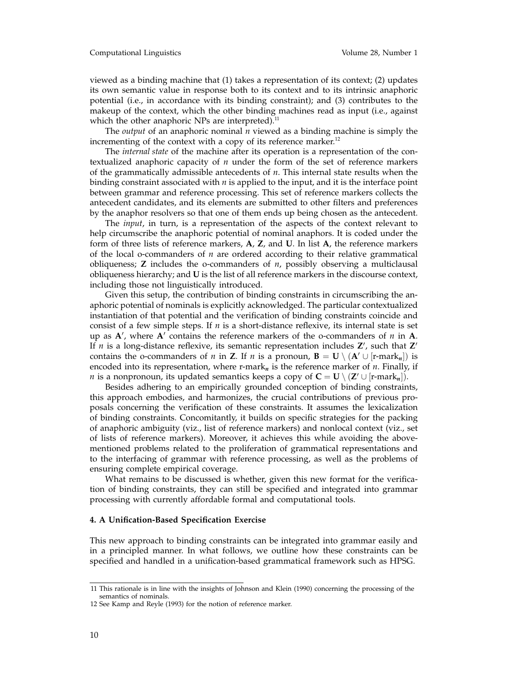viewed as a binding machine that (1) takes a representation of its context; (2) updates its own semantic value in response both to its context and to its intrinsic anaphoric potential (i.e., in accordance with its binding constraint); and (3) contributes to the makeup of the context, which the other binding machines read as input (i.e., against which the other anaphoric NPs are interpreted). $^{11}$ 

The *output* of an anaphoric nominal *n* viewed as a binding machine is simply the incrementing of the context with a copy of its reference marker. $12$ 

The *internal state* of the machine after its operation is a representation of the contextualized anaphoric capacity of *n* under the form of the set of reference markers of the grammatically admissible antecedents of *n*. This internal state results when the binding constraint associated with *n* is applied to the input, and it is the interface point between grammar and reference processing. This set of reference markers collects the antecedent candidates, and its elements are submitted to other filters and preferences by the anaphor resolvers so that one of them ends up being chosen as the antecedent.

The *input*, in turn, is a representation of the aspects of the context relevant to help circumscribe the anaphoric potential of nominal anaphors. It is coded under the form of three lists of reference markers, **A**, **Z**, and **U**. In list **A**, the reference markers of the local o-commanders of *n* are ordered according to their relative grammatical obliqueness; **Z** includes the o-commanders of *n*, possibly observing a multiclausal obliqueness hierarchy; and **U** is the list of all reference markers in the discourse context, including those not linguistically introduced.

Given this setup, the contribution of binding constraints in circumscribing the anaphoric potential of nominals is explicitly acknowledged. The particular contextualized instantiation of that potential and the verification of binding constraints coincide and consist of a few simple steps. If *n* is a short-distance reflexive, its internal state is set up as  $A'$ , where  $A'$  contains the reference markers of the o-commanders of  $n$  in  $A$ . If *n* is a long-distance reflexive, its semantic representation includes  $Z'$ , such that  $Z'$ contains the o-commanders of *n* in **Z**. If *n* is a pronoun,  $\mathbf{B} = \mathbf{U} \setminus (\mathbf{A}' \cup [\mathbf{r}\text{-} \mathbf{m} \mathbf{a} \mathbf{r} \mathbf{k}_n])$  is encoded into its representation, where r-mark*<sup>n</sup>* is the reference marker of *n*. Finally, if *n* is a nonpronoun, its updated semantics keeps a copy of  $C = U \setminus (Z' \cup [r\text{-}mark_n])$ .

Besides adhering to an empirically grounded conception of binding constraints, this approach embodies, and harmonizes, the crucial contributions of previous proposals concerning the verification of these constraints. It assumes the lexicalization of binding constraints. Concomitantly, it builds on specific strategies for the packing of anaphoric ambiguity (viz., list of reference markers) and nonlocal context (viz., set of lists of reference markers). Moreover, it achieves this while avoiding the abovementioned problems related to the proliferation of grammatical representations and to the interfacing of grammar with reference processing, as well as the problems of ensuring complete empirical coverage.

What remains to be discussed is whether, given this new format for the verification of binding constraints, they can still be specified and integrated into grammar processing with currently affordable formal and computational tools.

## **4. A Unification-Based Specification Exercise**

This new approach to binding constraints can be integrated into grammar easily and in a principled manner. In what follows, we outline how these constraints can be specified and handled in a unification-based grammatical framework such as HPSG.

<sup>11</sup> This rationale is in line with the insights of Johnson and Klein (1990) concerning the processing of the semantics of nominals.

<sup>12</sup> See Kamp and Reyle (1993) for the notion of reference marker.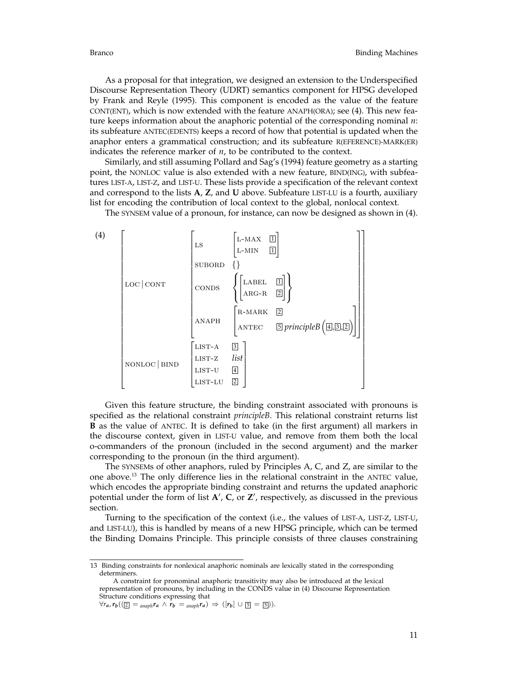As a proposal for that integration, we designed an extension to the Underspecified Discourse Representation Theory (UDRT) semantics component for HPSG developed by Frank and Reyle (1995). This component is encoded as the value of the feature CONT(ENT), which is now extended with the feature ANAPH(ORA); see (4). This new feature keeps information about the anaphoric potential of the corresponding nominal *n*: its subfeature ANTEC(EDENTS) keeps a record of how that potential is updated when the anaphor enters a grammatical construction; and its subfeature R(EFERENCE)-MARK(ER) indicates the reference marker of *n*, to be contributed to the context.

Similarly, and still assuming Pollard and Sag's (1994) feature geometry as a starting point, the NONLOC value is also extended with a new feature, BIND(ING), with subfeatures LIST-A, LIST-Z, and LIST-U. These lists provide a specification of the relevant context and correspond to the lists **A**, **Z**, and **U** above. Subfeature LIST-LU is a fourth, auxiliary list for encoding the contribution of local context to the global, nonlocal context.

The SYNSEM value of a pronoun, for instance, can now be designed as shown in (4).



Given this feature structure, the binding constraint associated with pronouns is specified as the relational constraint *principleB*. This relational constraint returns list **B** as the value of ANTEC. It is defined to take (in the first argument) all markers in the discourse context, given in LIST-U value, and remove from them both the local o-commanders of the pronoun (included in the second argument) and the marker corresponding to the pronoun (in the third argument).

The SYNSEMs of other anaphors, ruled by Principles A, C, and Z, are similar to the one above.13 The only difference lies in the relational constraint in the ANTEC value, which encodes the appropriate binding constraint and returns the updated anaphoric potential under the form of list **A'**, **C**, or **Z'**, respectively, as discussed in the previous section.

Turning to the specification of the context (i.e., the values of LIST-A, LIST-Z, LIST-U, and LIST-LU), this is handled by means of a new HPSG principle, which can be termed the Binding Domains Principle. This principle consists of three clauses constraining

<sup>13</sup> Binding constraints for nonlexical anaphoric nominals are lexically stated in the corresponding determiners.

A constraint for pronominal anaphoric transitivity may also be introduced at the lexical representation of pronouns, by including in the CONDS value in (4) Discourse Representation Structure conditions expressing that

 $\forall r_a, r_b((\mathbf{Z} = \mathbf{a}_{naph}r_a \land r_b = \mathbf{a}_{naph}r_a) \Rightarrow (r_b) \cup [\mathbf{S} = \mathbf{S}]).$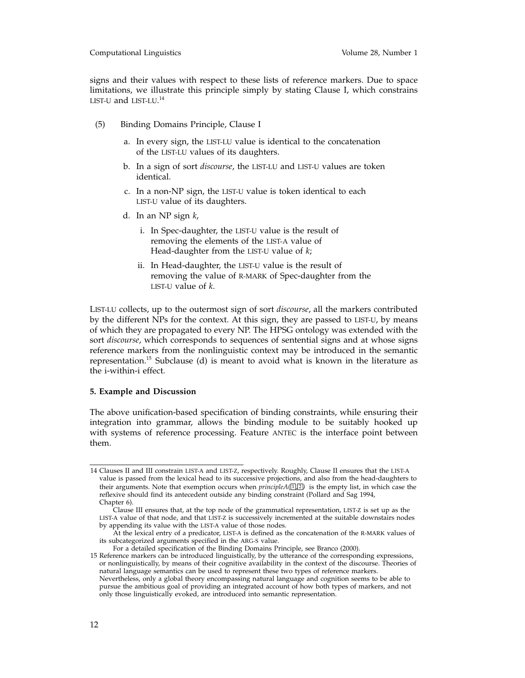### Computational Linguistics Volume 28, Number 1

signs and their values with respect to these lists of reference markers. Due to space limitations, we illustrate this principle simply by stating Clause I, which constrains LIST-U and LIST-LU. 14

- (5) Binding Domains Principle, Clause I
	- a. In every sign, the LIST-LU value is identical to the concatenation of the LIST-LU values of its daughters.
	- b. In a sign of sort *discourse*, the LIST-LU and LIST-U values are token identical.
	- c. In a non-NP sign, the LIST-U value is token identical to each LIST-U value of its daughters.
	- d. In an NP sign *k*,
		- i. In Spec-daughter, the LIST-U value is the result of removing the elements of the LIST-A value of Head-daughter from the LIST-U value of *k*;
		- ii. In Head-daughter, the LIST-U value is the result of removing the value of R-MARK of Spec-daughter from the LIST-U value of *k*.

LIST-LU collects, up to the outermost sign of sort *discourse*, all the markers contributed by the different NPs for the context. At this sign, they are passed to LIST-U, by means of which they are propagated to every NP. The HPSG ontology was extended with the sort *discourse*, which corresponds to sequences of sentential signs and at whose signs reference markers from the nonlinguistic context may be introduced in the semantic representation.15 Subclause (d) is meant to avoid what is known in the literature as the i-within-i effect.

## **5. Example and Discussion**

The above unification-based specification of binding constraints, while ensuring their integration into grammar, allows the binding module to be suitably hooked up with systems of reference processing. Feature ANTEC is the interface point between them.

<sup>14</sup> Clauses II and III constrain LIST-A and LIST-Z, respectively. Roughly, Clause II ensures that the LIST-A value is passed from the lexical head to its successive projections, and also from the head-daughters to their arguments. Note that exemption occurs when *principleA*( $\Box$  *i*) is the empty list, in which case the reflexive should find its antecedent outside any binding constraint (Pollard and Sag 1994, Chapter 6).

Clause III ensures that, at the top node of the grammatical representation, LIST-Z is set up as the LIST-A value of that node, and that LIST-Z is successively incremented at the suitable downstairs nodes by appending its value with the LIST-A value of those nodes.

At the lexical entry of a predicator, LIST-A is defined as the concatenation of the R-MARK values of its subcategorized arguments specified in the ARG-S value.

For a detailed specification of the Binding Domains Principle, see Branco (2000).

<sup>15</sup> Reference markers can be introduced linguistically, by the utterance of the corresponding expressions, or nonlinguistically, by means of their cognitive availability in the context of the discourse. Theories of natural language semantics can be used to represent these two types of reference markers. Nevertheless, only a global theory encompassing natural language and cognition seems to be able to

pursue the ambitious goal of providing an integrated account of how both types of markers, and not only those linguistically evoked, are introduced into semantic representation.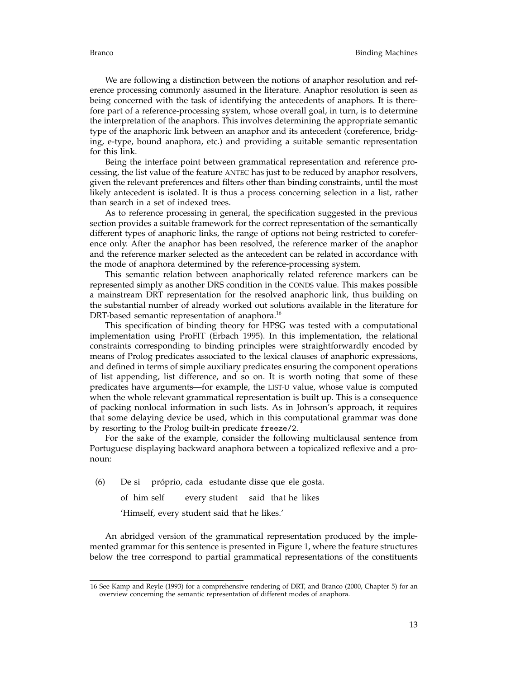We are following a distinction between the notions of anaphor resolution and reference processing commonly assumed in the literature. Anaphor resolution is seen as being concerned with the task of identifying the antecedents of anaphors. It is therefore part of a reference-processing system, whose overall goal, in turn, is to determine the interpretation of the anaphors. This involves determining the appropriate semantic type of the anaphoric link between an anaphor and its antecedent (coreference, bridging, e-type, bound anaphora, etc.) and providing a suitable semantic representation for this link.

Being the interface point between grammatical representation and reference processing, the list value of the feature ANTEC has just to be reduced by anaphor resolvers, given the relevant preferences and filters other than binding constraints, until the most likely antecedent is isolated. It is thus a process concerning selection in a list, rather than search in a set of indexed trees.

As to reference processing in general, the specification suggested in the previous section provides a suitable framework for the correct representation of the semantically different types of anaphoric links, the range of options not being restricted to coreference only. After the anaphor has been resolved, the reference marker of the anaphor and the reference marker selected as the antecedent can be related in accordance with the mode of anaphora determined by the reference-processing system.

This semantic relation between anaphorically related reference markers can be represented simply as another DRS condition in the CONDS value. This makes possible a mainstream DRT representation for the resolved anaphoric link, thus building on the substantial number of already worked out solutions available in the literature for DRT-based semantic representation of anaphora.<sup>16</sup>

This specification of binding theory for HPSG was tested with a computational implementation using ProFIT (Erbach 1995). In this implementation, the relational constraints corresponding to binding principles were straightforwardly encoded by means of Prolog predicates associated to the lexical clauses of anaphoric expressions, and defined in terms of simple auxiliary predicates ensuring the component operations of list appending, list difference, and so on. It is worth noting that some of these predicates have arguments—for example, the LIST-U value, whose value is computed when the whole relevant grammatical representation is built up. This is a consequence of packing nonlocal information in such lists. As in Johnson's approach, it requires that some delaying device be used, which in this computational grammar was done by resorting to the Prolog built-in predicate freeze/2.

For the sake of the example, consider the following multiclausal sentence from Portuguese displaying backward anaphora between a topicalized reflexive and a pronoun:

(6) De si pr´oprio, cada estudante disse que ele gosta.

of him self every student said that he likes

'Himself, every student said that he likes.'

An abridged version of the grammatical representation produced by the implemented grammar for this sentence is presented in Figure 1, where the feature structures below the tree correspond to partial grammatical representations of the constituents

<sup>16</sup> See Kamp and Reyle (1993) for a comprehensive rendering of DRT, and Branco (2000, Chapter 5) for an overview concerning the semantic representation of different modes of anaphora.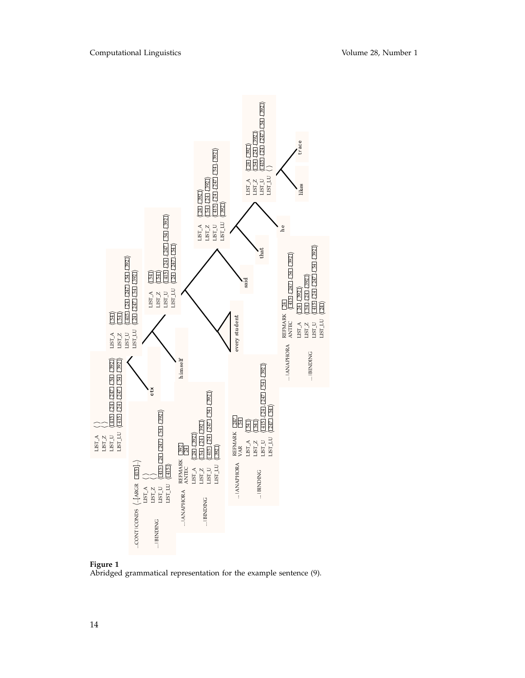

# **Figure 1**

Abridged grammatical representation for the example sentence (9).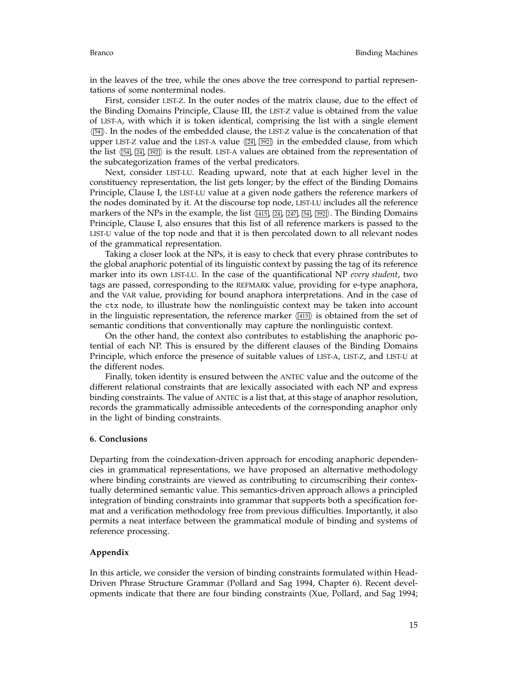in the leaves of the tree, while the ones above the tree correspond to partial representations of some nonterminal nodes.

First, consider LIST-Z. In the outer nodes of the matrix clause, due to the effect of the Binding Domains Principle, Clause III, the LIST-Z value is obtained from the value of LIST-A, with which it is token identical, comprising the list with a single element  $\sqrt{54}$ . In the nodes of the embedded clause, the LIST-Z value is the concatenation of that upper LIST-Z value and the LIST-A value  $\langle 24, 392 \rangle$  in the embedded clause, from which the list  $\langle 54, 24, 392 \rangle$  is the result. LIST-A values are obtained from the representation of the subcategorization frames of the verbal predicators.

Next, consider LIST-LU. Reading upward, note that at each higher level in the constituency representation, the list gets longer; by the effect of the Binding Domains Principle, Clause I, the LIST-LU value at a given node gathers the reference markers of the nodes dominated by it. At the discourse top node, LIST-LU includes all the reference markers of the NPs in the example, the list  $\langle \overline{415} \rangle$   $\langle \overline{247} \rangle$   $\langle \overline{34} \rangle$ ,  $\langle \overline{392} \rangle$ . The Binding Domains Principle, Clause I, also ensures that this list of all reference markers is passed to the LIST-U value of the top node and that it is then percolated down to all relevant nodes of the grammatical representation.

Taking a closer look at the NPs, it is easy to check that every phrase contributes to the global anaphoric potential of its linguistic context by passing the tag of its reference marker into its own LIST-LU. In the case of the quantificational NP *every student*, two tags are passed, corresponding to the REFMARK value, providing for e-type anaphora, and the VAR value, providing for bound anaphora interpretations. And in the case of the ctx node, to illustrate how the nonlinguistic context may be taken into account in the linguistic representation, the reference marker  $\sqrt{\frac{415}{}}$  is obtained from the set of semantic conditions that conventionally may capture the nonlinguistic context.

On the other hand, the context also contributes to establishing the anaphoric potential of each NP. This is ensured by the different clauses of the Binding Domains Principle, which enforce the presence of suitable values of LIST-A, LIST-Z, and LIST-U at the different nodes.

Finally, token identity is ensured between the ANTEC value and the outcome of the different relational constraints that are lexically associated with each NP and express binding constraints. The value of ANTEC is a list that, at this stage of anaphor resolution, records the grammatically admissible antecedents of the corresponding anaphor only in the light of binding constraints.

# **6. Conclusions**

Departing from the coindexation-driven approach for encoding anaphoric dependencies in grammatical representations, we have proposed an alternative methodology where binding constraints are viewed as contributing to circumscribing their contextually determined semantic value. This semantics-driven approach allows a principled integration of binding constraints into grammar that supports both a specification format and a verification methodology free from previous difficulties. Importantly, it also permits a neat interface between the grammatical module of binding and systems of reference processing.

# **Appendix**

In this article, we consider the version of binding constraints formulated within Head-Driven Phrase Structure Grammar (Pollard and Sag 1994, Chapter 6). Recent developments indicate that there are four binding constraints (Xue, Pollard, and Sag 1994;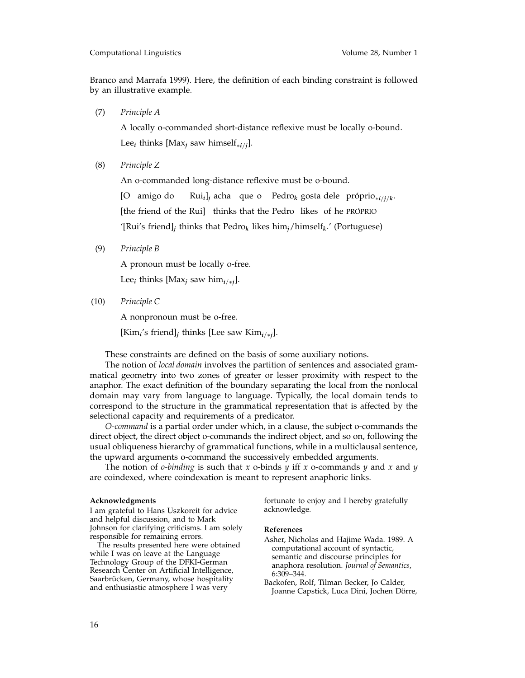Branco and Marrafa 1999). Here, the definition of each binding constraint is followed by an illustrative example.

(7) *Principle A*

A locally o-commanded short-distance reflexive must be locally o-bound. Lee<sub>*i*</sub> thinks [Max<sub>*j*</sub> saw himself<sub>\**i*/*j*].</sub>

(8) *Principle Z*

An o-commanded long-distance reflexive must be o-bound.

[O amigo do Rui*i*]*<sup>j</sup>* acha que o Pedro*<sup>k</sup>* gosta dele pr´oprio∗*i*/*j*/*k*. [the friend of the Rui] thinks that the Pedro likes of he PROPRIO '[Rui's friend]*<sup>j</sup>* thinks that Pedro*<sup>k</sup>* likes him*j*/himself*k*.' (Portuguese)

(9) *Principle B*

A pronoun must be locally o-free.

Lee<sub>*i*</sub> thinks [Max<sub>*i*</sub> saw him<sub>*i/\*<i>i*</sub>].</sub>

(10) *Principle C*

A nonpronoun must be o-free.

[Kim*i*'s friend]*<sup>j</sup>* thinks [Lee saw Kim*i*/∗*<sup>j</sup>*].

These constraints are defined on the basis of some auxiliary notions.

The notion of *local domain* involves the partition of sentences and associated grammatical geometry into two zones of greater or lesser proximity with respect to the anaphor. The exact definition of the boundary separating the local from the nonlocal domain may vary from language to language. Typically, the local domain tends to correspond to the structure in the grammatical representation that is affected by the selectional capacity and requirements of a predicator.

*O-command* is a partial order under which, in a clause, the subject o-commands the direct object, the direct object o-commands the indirect object, and so on, following the usual obliqueness hierarchy of grammatical functions, while in a multiclausal sentence, the upward arguments o-command the successively embedded arguments.

The notion of *o-binding* is such that *x* o-binds *y* iff *x* o-commands *y* and *x* and *y* are coindexed, where coindexation is meant to represent anaphoric links.

#### **Acknowledgments**

I am grateful to Hans Uszkoreit for advice and helpful discussion, and to Mark Johnson for clarifying criticisms. I am solely responsible for remaining errors.

The results presented here were obtained while I was on leave at the Language Technology Group of the DFKI-German Research Center on Artificial Intelligence, Saarbrücken, Germany, whose hospitality and enthusiastic atmosphere I was very

fortunate to enjoy and I hereby gratefully acknowledge.

#### **References**

- Asher, Nicholas and Hajime Wada. 1989. A computational account of syntactic, semantic and discourse principles for anaphora resolution. *Journal of Semantics*, 6:309–344.
- Backofen, Rolf, Tilman Becker, Jo Calder, Joanne Capstick, Luca Dini, Jochen Dörre,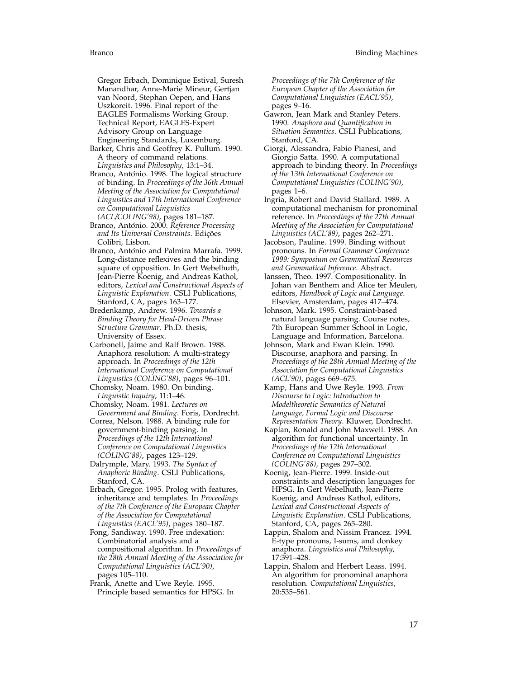Gregor Erbach, Dominique Estival, Suresh Manandhar, Anne-Marie Mineur, Gertjan van Noord, Stephan Oepen, and Hans Uszkoreit. 1996. Final report of the EAGLES Formalisms Working Group. Technical Report, EAGLES-Expert Advisory Group on Language Engineering Standards, Luxemburg.

Barker, Chris and Geoffrey K. Pullum. 1990. A theory of command relations. *Linguistics and Philosophy*, 13:1–34.

Branco, António. 1998. The logical structure of binding. In *Proceedings of the 36th Annual Meeting of the Association for Computational Linguistics and 17th International Conference on Computational Linguistics (ACL/COLING'98)*, pages 181–187.

Branco, António. 2000. Reference Processing *and Its Universal Constraints*. Edi¸c˜oes Colibri, Lisbon.

Branco, António and Palmira Marrafa. 1999. Long-distance reflexives and the binding square of opposition. In Gert Webelhuth, Jean-Pierre Koenig, and Andreas Kathol, editors, *Lexical and Constructional Aspects of Linguistic Explanation*. CSLI Publications, Stanford, CA, pages 163–177.

Bredenkamp, Andrew. 1996. *Towards a Binding Theory for Head-Driven Phrase Structure Grammar*. Ph.D. thesis, University of Essex.

Carbonell, Jaime and Ralf Brown. 1988. Anaphora resolution: A multi-strategy approach. In *Proceedings of the 12th International Conference on Computational Linguistics (COLING'88)*, pages 96–101.

Chomsky, Noam. 1980. On binding. *Linguistic Inquiry*, 11:1–46.

Chomsky, Noam. 1981. *Lectures on Government and Binding*. Foris, Dordrecht.

Correa, Nelson. 1988. A binding rule for government-binding parsing. In *Proceedings of the 12th International Conference on Computational Linguistics (COLING'88)*, pages 123–129.

Dalrymple, Mary. 1993. *The Syntax of Anaphoric Binding*. CSLI Publications, Stanford, CA.

Erbach, Gregor. 1995. Prolog with features, inheritance and templates. In *Proceedings of the 7th Conference of the European Chapter of the Association for Computational Linguistics (EACL'95)*, pages 180–187.

Fong, Sandiway. 1990. Free indexation: Combinatorial analysis and a compositional algorithm. In *Proceedings of the 28th Annual Meeting of the Association for Computational Linguistics (ACL'90)*, pages 105–110.

Frank, Anette and Uwe Reyle. 1995. Principle based semantics for HPSG. In

*Proceedings of the 7th Conference of the European Chapter of the Association for Computational Linguistics (EACL'95)*, pages 9–16.

Gawron, Jean Mark and Stanley Peters. 1990. *Anaphora and Quantification in Situation Semantics*. CSLI Publications, Stanford, CA.

Giorgi, Alessandra, Fabio Pianesi, and Giorgio Satta. 1990. A computational approach to binding theory. In *Proceedings of the 13th International Conference on Computational Linguistics (COLING'90)*, pages 1–6.

Ingria, Robert and David Stallard. 1989. A computational mechanism for pronominal reference. In *Proceedings of the 27th Annual Meeting of the Association for Computational Linguistics (ACL'89)*, pages 262–271.

Jacobson, Pauline. 1999. Binding without pronouns. In *Formal Grammar Conference 1999: Symposium on Grammatical Resources and Grammatical Inference*. Abstract.

Janssen, Theo. 1997. Compositionality. In Johan van Benthem and Alice ter Meulen, editors, *Handbook of Logic and Language*. Elsevier, Amsterdam, pages 417–474.

Johnson, Mark. 1995. Constraint-based natural language parsing. Course notes, 7th European Summer School in Logic, Language and Information, Barcelona.

Johnson, Mark and Ewan Klein. 1990. Discourse, anaphora and parsing. In *Proceedings of the 28th Annual Meeting of the Association for Computational Linguistics (ACL'90)*, pages 669–675.

Kamp, Hans and Uwe Reyle. 1993. *From Discourse to Logic: Introduction to Modeltheoretic Semantics of Natural Language, Formal Logic and Discourse Representation Theory*. Kluwer, Dordrecht.

Kaplan, Ronald and John Maxwell. 1988. An algorithm for functional uncertainty. In *Proceedings of the 12th International Conference on Computational Linguistics (COLING'88)*, pages 297–302.

Koenig, Jean-Pierre. 1999. Inside-out constraints and description languages for HPSG. In Gert Webelhuth, Jean-Pierre Koenig, and Andreas Kathol, editors, *Lexical and Constructional Aspects of Linguistic Explanation*. CSLI Publications, Stanford, CA, pages 265–280.

Lappin, Shalom and Nissim Francez. 1994. E-type pronouns, I-sums, and donkey anaphora. *Linguistics and Philosophy*, 17:391–428.

Lappin, Shalom and Herbert Leass. 1994. An algorithm for pronominal anaphora resolution. *Computational Linguistics*, 20:535–561.